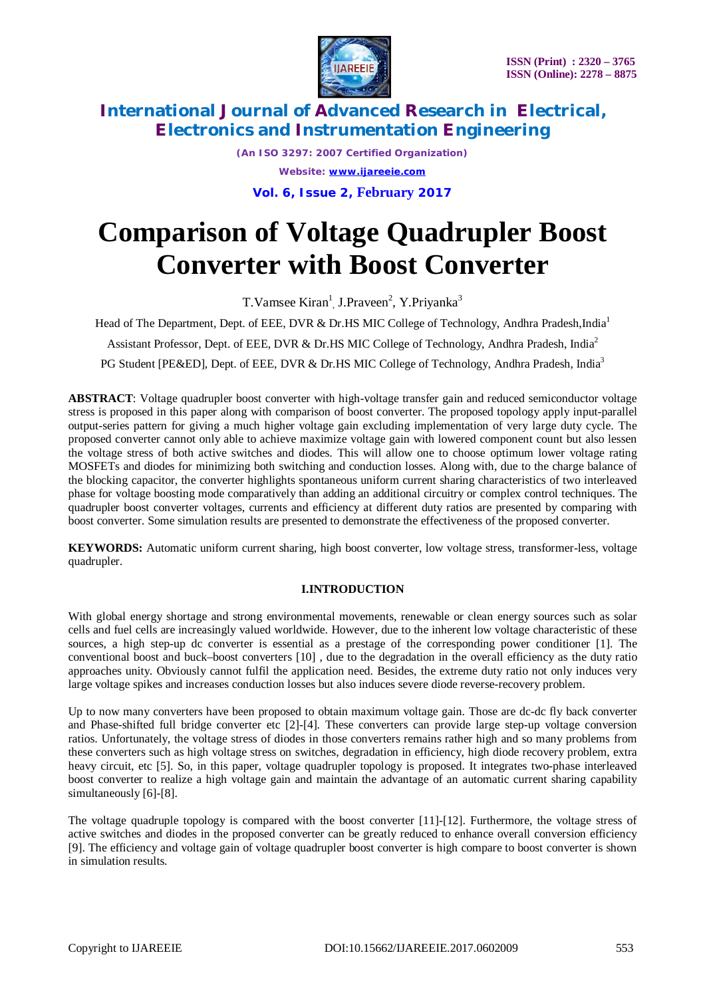

*(An ISO 3297: 2007 Certified Organization) Website: [www.ijareeie.com](http://www.ijareeie.com)* **Vol. 6, Issue 2, February 2017**

# **Comparison of Voltage Quadrupler Boost Converter with Boost Converter**

T. Vamsee Kiran<sup>1</sup>, J. Praveen<sup>2</sup>, Y. Priyanka<sup>3</sup>

Head of The Department, Dept. of EEE, DVR & Dr.HS MIC College of Technology, Andhra Pradesh,India<sup>1</sup>

Assistant Professor, Dept. of EEE, DVR & Dr.HS MIC College of Technology, Andhra Pradesh, India<sup>2</sup>

PG Student [PE&ED], Dept. of EEE, DVR & Dr.HS MIC College of Technology, Andhra Pradesh, India<sup>3</sup>

**ABSTRACT**: Voltage quadrupler boost converter with high-voltage transfer gain and reduced semiconductor voltage stress is proposed in this paper along with comparison of boost converter. The proposed topology apply input-parallel output-series pattern for giving a much higher voltage gain excluding implementation of very large duty cycle. The proposed converter cannot only able to achieve maximize voltage gain with lowered component count but also lessen the voltage stress of both active switches and diodes. This will allow one to choose optimum lower voltage rating MOSFETs and diodes for minimizing both switching and conduction losses. Along with, due to the charge balance of the blocking capacitor, the converter highlights spontaneous uniform current sharing characteristics of two interleaved phase for voltage boosting mode comparatively than adding an additional circuitry or complex control techniques. The quadrupler boost converter voltages, currents and efficiency at different duty ratios are presented by comparing with boost converter. Some simulation results are presented to demonstrate the effectiveness of the proposed converter.

**KEYWORDS:** Automatic uniform current sharing, high boost converter, low voltage stress, transformer-less, voltage quadrupler.

#### **I.INTRODUCTION**

With global energy shortage and strong environmental movements, renewable or clean energy sources such as solar cells and fuel cells are increasingly valued worldwide. However, due to the inherent low voltage characteristic of these sources, a high step-up dc converter is essential as a prestage of the corresponding power conditioner [1]. The conventional boost and buck–boost converters [10] , due to the degradation in the overall efficiency as the duty ratio approaches unity. Obviously cannot fulfil the application need. Besides, the extreme duty ratio not only induces very large voltage spikes and increases conduction losses but also induces severe diode reverse-recovery problem.

Up to now many converters have been proposed to obtain maximum voltage gain. Those are dc-dc fly back converter and Phase-shifted full bridge converter etc [2]-[4]. These converters can provide large step-up voltage conversion ratios. Unfortunately, the voltage stress of diodes in those converters remains rather high and so many problems from these converters such as high voltage stress on switches, degradation in efficiency, high diode recovery problem, extra heavy circuit, etc [5]. So, in this paper, voltage quadrupler topology is proposed. It integrates two-phase interleaved boost converter to realize a high voltage gain and maintain the advantage of an automatic current sharing capability simultaneously [6]-[8].

The voltage quadruple topology is compared with the boost converter [11]-[12]. Furthermore, the voltage stress of active switches and diodes in the proposed converter can be greatly reduced to enhance overall conversion efficiency [9]. The efficiency and voltage gain of voltage quadrupler boost converter is high compare to boost converter is shown in simulation results.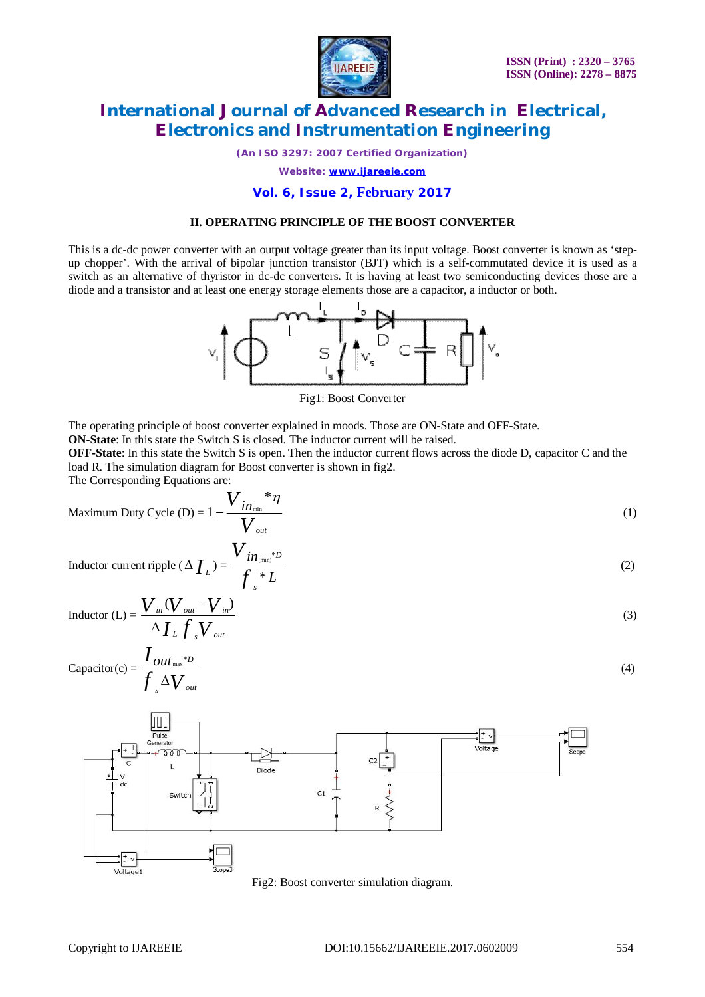

*(An ISO 3297: 2007 Certified Organization)*

*Website: [www.ijareeie.com](http://www.ijareeie.com)*

#### **Vol. 6, Issue 2, February 2017**

#### **II. OPERATING PRINCIPLE OF THE BOOST CONVERTER**

This is a dc-dc power converter with an output voltage greater than its input voltage. Boost converter is known as 'stepup chopper'. With the arrival of bipolar junction transistor (BJT) which is a self-commutated device it is used as a switch as an alternative of thyristor in dc-dc converters. It is having at least two semiconducting devices those are a diode and a transistor and at least one energy storage elements those are a capacitor, a inductor or both.



Fig1: Boost Converter

The operating principle of boost converter explained in moods. Those are ON-State and OFF-State.

**ON-State**: In this state the Switch S is closed. The inductor current will be raised.

**OFF-State**: In this state the Switch S is open. Then the inductor current flows across the diode D, capacitor C and the load R. The simulation diagram for Boost converter is shown in fig2.

The Corresponding Equations are:

Maximum Duty Cycle (D) = 
$$
1 - \frac{V_{in_{min}} * \eta}{V_{out}}
$$
 (1)

Inductor current ripple (
$$
\Delta I_L
$$
) =  $\frac{V_{in_{(min)}^*D}}{f_s * L}$  (2)

Inductor (L) = 
$$
\frac{V_{in}(V_{out} - V_{in})}{\Delta I_L f_s V_{out}}
$$
 (3)

Capacitor(c) = 
$$
\frac{I_{out_{\text{max}}^{*D}}}{\int_{s} \Delta V_{out}}
$$
 (4)



Fig2: Boost converter simulation diagram.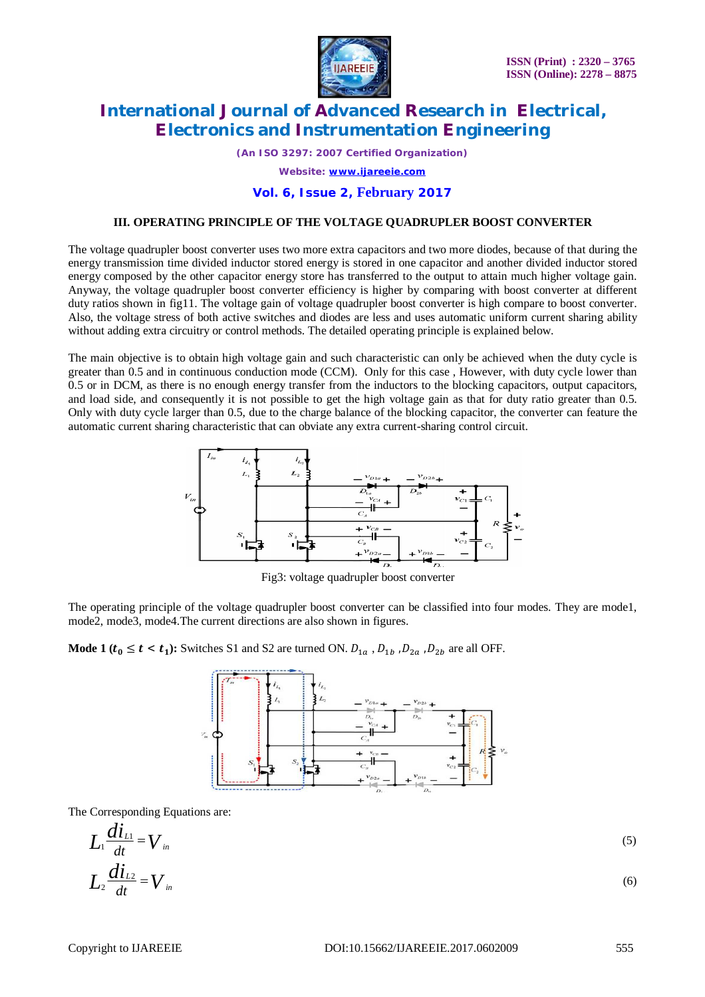

*(An ISO 3297: 2007 Certified Organization) Website: [www.ijareeie.com](http://www.ijareeie.com)*

#### **Vol. 6, Issue 2, February 2017**

#### **III. OPERATING PRINCIPLE OF THE VOLTAGE QUADRUPLER BOOST CONVERTER**

The voltage quadrupler boost converter uses two more extra capacitors and two more diodes, because of that during the energy transmission time divided inductor stored energy is stored in one capacitor and another divided inductor stored energy composed by the other capacitor energy store has transferred to the output to attain much higher voltage gain. Anyway, the voltage quadrupler boost converter efficiency is higher by comparing with boost converter at different duty ratios shown in fig11. The voltage gain of voltage quadrupler boost converter is high compare to boost converter. Also, the voltage stress of both active switches and diodes are less and uses automatic uniform current sharing ability without adding extra circuitry or control methods. The detailed operating principle is explained below.

The main objective is to obtain high voltage gain and such characteristic can only be achieved when the duty cycle is greater than 0.5 and in continuous conduction mode (CCM). Only for this case , However, with duty cycle lower than 0.5 or in DCM, as there is no enough energy transfer from the inductors to the blocking capacitors, output capacitors, and load side, and consequently it is not possible to get the high voltage gain as that for duty ratio greater than 0.5. Only with duty cycle larger than 0.5, due to the charge balance of the blocking capacitor, the converter can feature the automatic current sharing characteristic that can obviate any extra current-sharing control circuit.



Fig3: voltage quadrupler boost converter

The operating principle of the voltage quadrupler boost converter can be classified into four modes. They are mode1, mode2, mode3, mode4.The current directions are also shown in figures.

**Mode 1** ( $t_0 \le t < t_1$ ): Switches S1 and S2 are turned ON.  $D_{1a}$  ,  $D_{1b}$  ,  $D_{2a}$  ,  $D_{2b}$  are all OFF.



The Corresponding Equations are:

$$
L_1 \frac{di_{L1}}{dt} = V_{in}
$$
\n
$$
L_2 \frac{di_{L2}}{dt} = V_{in}
$$
\n(6)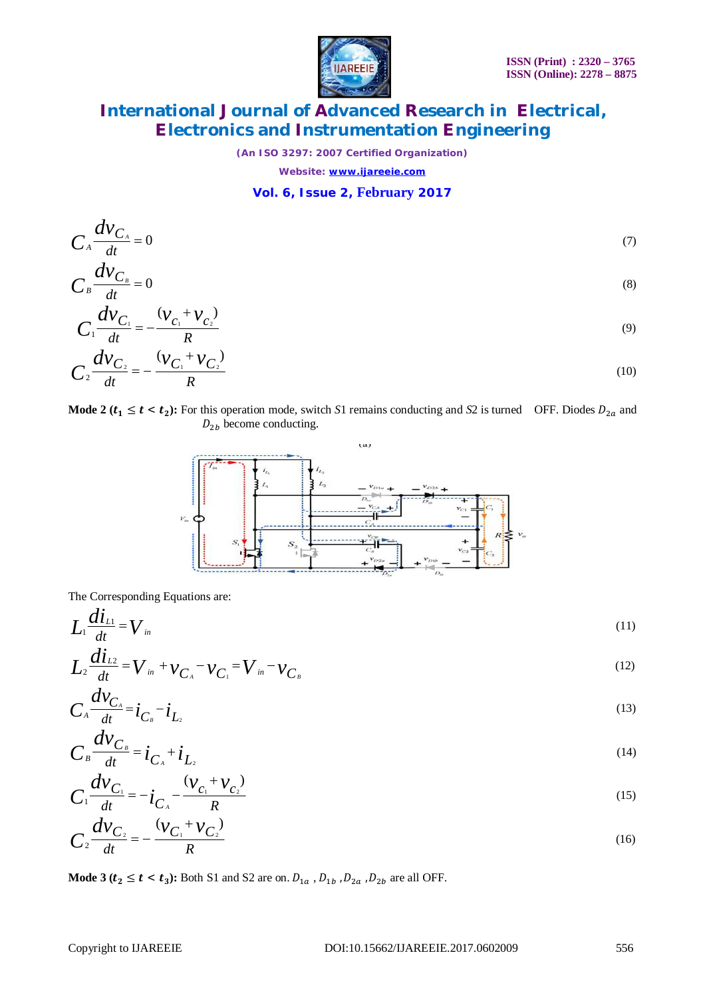

*(An ISO 3297: 2007 Certified Organization)*

*Website: [www.ijareeie.com](http://www.ijareeie.com)*

#### **Vol. 6, Issue 2, February 2017**

$$
C_A \frac{dV_{C_A}}{dt} = 0 \tag{7}
$$
  

$$
C_B \frac{dV_{C_B}}{dt} = 0 \tag{8}
$$

$$
C_1 \frac{d v_{C_1}}{dt} = -\frac{(v_{C_1} + v_{C_2})}{R}
$$
\n(9)

$$
C_2 \frac{d v_{C_2}}{dt} = -\frac{(v_{C_1} + v_{C_2})}{R}
$$
 (10)

Mode 2 ( $t_1 \le t < t_2$ ): For this operation mode, switch *S*1 remains conducting and *S*2 is turned OFF. Diodes  $D_{2a}$  and  $D_{2b}$  become conducting.



The Corresponding Equations are:

$$
L_1 \frac{d i_L}{dt} = V_{in} \tag{11}
$$

$$
L_2 \frac{di_{L2}}{dt} = V_{in} + v_{C_A} - v_{C_I} = V_{in} - v_{C_B}
$$
\n(12)

$$
C_{A} \frac{d v_{C_{A}}}{dt} = \dot{i}_{C_{B}} - \dot{i}_{L_{2}} \tag{13}
$$

$$
C_{B} \frac{d v_{C_{B}}}{dt} = i_{C_{A}} + i_{L_{2}} \tag{14}
$$

$$
C_1 \frac{d v_{C_1}}{dt} = -i_{C_A} - \frac{(v_{C_1} + v_{C_2})}{R}
$$
 (15)

$$
C_2 \frac{d v_{C_2}}{dt} = -\frac{(v_{C_1} + v_{C_2})}{R}
$$
 (16)

Mode  $3 (t_2 \le t < t_3)$ : Both S1 and S2 are on.  $D_{1a}$  ,  $D_{1b}$  ,  $D_{2a}$  ,  $D_{2b}$  are all OFF.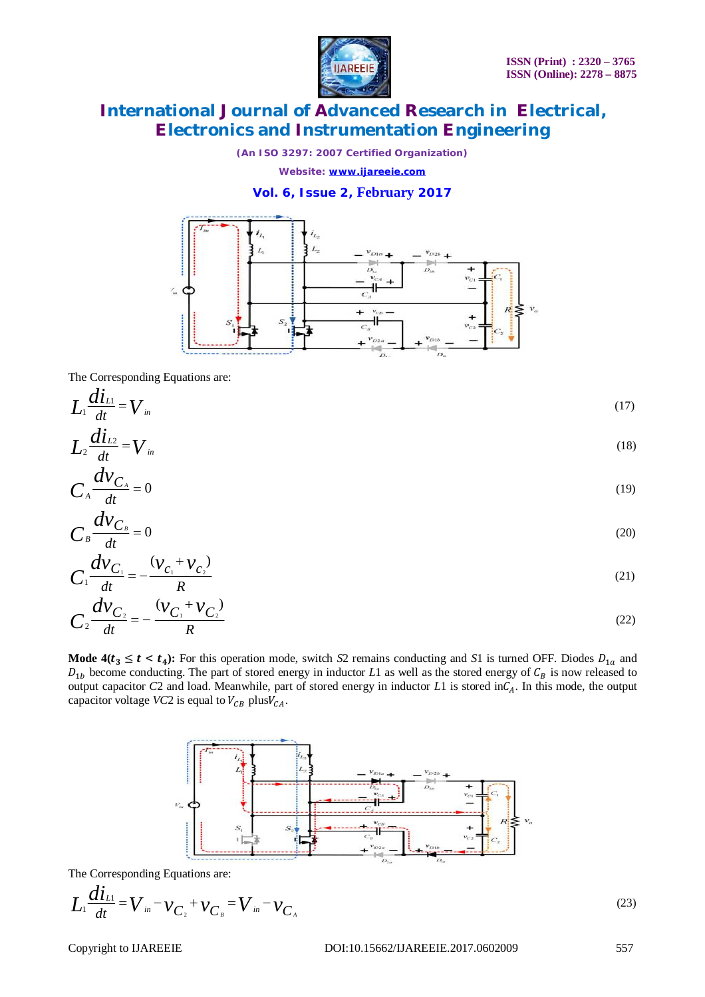

*(An ISO 3297: 2007 Certified Organization)*

*Website: [www.ijareeie.com](http://www.ijareeie.com)*

#### **Vol. 6, Issue 2, February 2017**



The Corresponding Equations are:

$$
L_1 \frac{di_{\scriptscriptstyle L1}}{dt} = V_{\scriptscriptstyle in} \tag{17}
$$

$$
L_2 \frac{di_{L2}}{dt} = V_{in} \tag{18}
$$

$$
C_A \frac{dv_{C_A}}{dt} = 0 \tag{19}
$$

$$
C_{B}\frac{dv_{C_{B}}}{dt}=0
$$
 (20)

$$
C_1 \frac{dV_{C_1}}{dt} = -\frac{(V_{C_1} + V_{C_2})}{R}
$$
 (21)

$$
C_2 \frac{d v_{C_2}}{dt} = -\frac{(v_{C_1} + v_{C_2})}{R}
$$
 (22)

Mode  $4(t_3 \le t < t_4)$ : For this operation mode, switch *S*2 remains conducting and *S*1 is turned OFF. Diodes  $D_{1a}$  and  $D_{1b}$  become conducting. The part of stored energy in inductor *L*1 as well as the stored energy of  $C_B$  is now released to output capacitor *C*2 and load. Meanwhile, part of stored energy in inductor *L*1 is stored in $C_A$ . In this mode, the output capacitor voltage *VC*2 is equal to  $V_{CB}$  plus $V_{CA}$ .



The Corresponding Equations are:

$$
L_1 \frac{di_{L1}}{dt} = V_{in} - v_{C_2} + v_{C_B} = V_{in} - v_{C_A}
$$

(23)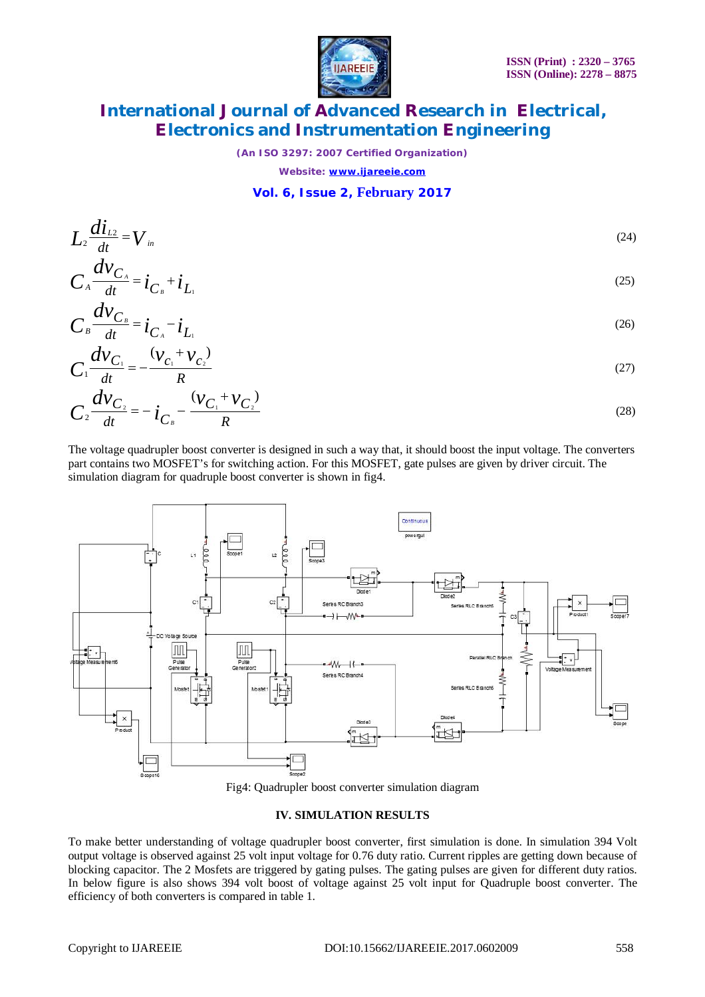

*(An ISO 3297: 2007 Certified Organization)*

*Website: [www.ijareeie.com](http://www.ijareeie.com)*

#### **Vol. 6, Issue 2, February 2017**

$$
L_{2} \frac{di_{L2}}{dt} = V_{in}
$$
\n
$$
C_{A} \frac{dV_{C_{A}}}{dt} = i_{C_{B}} + i_{L_{1}}
$$
\n(24)

$$
C_{B}\frac{dV_{C_{B}}}{dt}=i_{C_{A}}-i_{L_{A}}
$$
\n(26)

$$
C_1 \frac{d v_{C_1}}{dt} = -\frac{(v_{C_1} + v_{C_2})}{R}
$$
 (27)

$$
C_2 \frac{d v_{C_2}}{dt} = -i_{C_B} - \frac{(v_{C_1} + v_{C_2})}{R}
$$
 (28)

The voltage quadrupler boost converter is designed in such a way that, it should boost the input voltage. The converters part contains two MOSFET's for switching action. For this MOSFET, gate pulses are given by driver circuit. The simulation diagram for quadruple boost converter is shown in fig4.





#### **IV. SIMULATION RESULTS**

To make better understanding of voltage quadrupler boost converter, first simulation is done. In simulation 394 Volt output voltage is observed against 25 volt input voltage for 0.76 duty ratio. Current ripples are getting down because of blocking capacitor. The 2 Mosfets are triggered by gating pulses. The gating pulses are given for different duty ratios. In below figure is also shows 394 volt boost of voltage against 25 volt input for Quadruple boost converter. The efficiency of both converters is compared in table 1.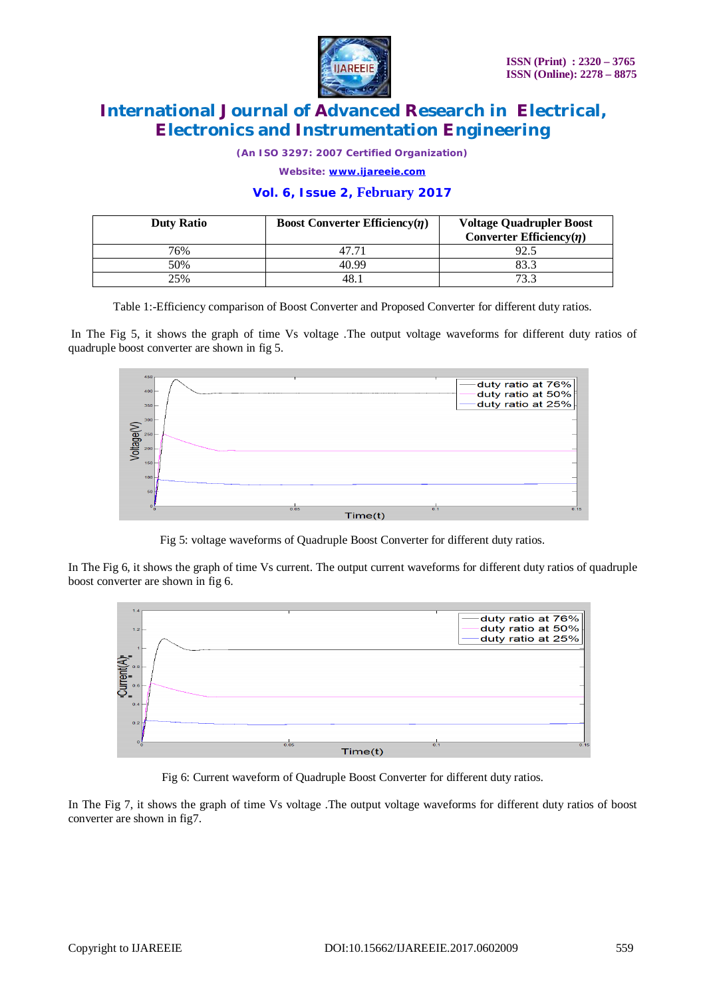

*(An ISO 3297: 2007 Certified Organization)*

*Website: [www.ijareeie.com](http://www.ijareeie.com)*

#### **Vol. 6, Issue 2, February 2017**

| <b>Duty Ratio</b> | <b>Boost Converter Efficiency</b> $(\eta)$ | <b>Voltage Quadrupler Boost</b><br>Converter Efficiency( $\eta$ ) |
|-------------------|--------------------------------------------|-------------------------------------------------------------------|
| 76%               |                                            | 92.5                                                              |
| 50%               | 40.99                                      | 83.3                                                              |
| 25%               | 48.                                        | 73.3                                                              |

Table 1:-Efficiency comparison of Boost Converter and Proposed Converter for different duty ratios.

In The Fig 5, it shows the graph of time Vs voltage .The output voltage waveforms for different duty ratios of quadruple boost converter are shown in fig 5.



Fig 5: voltage waveforms of Quadruple Boost Converter for different duty ratios.

In The Fig 6, it shows the graph of time Vs current. The output current waveforms for different duty ratios of quadruple boost converter are shown in fig 6.



Fig 6: Current waveform of Quadruple Boost Converter for different duty ratios.

In The Fig 7, it shows the graph of time Vs voltage .The output voltage waveforms for different duty ratios of boost converter are shown in fig7.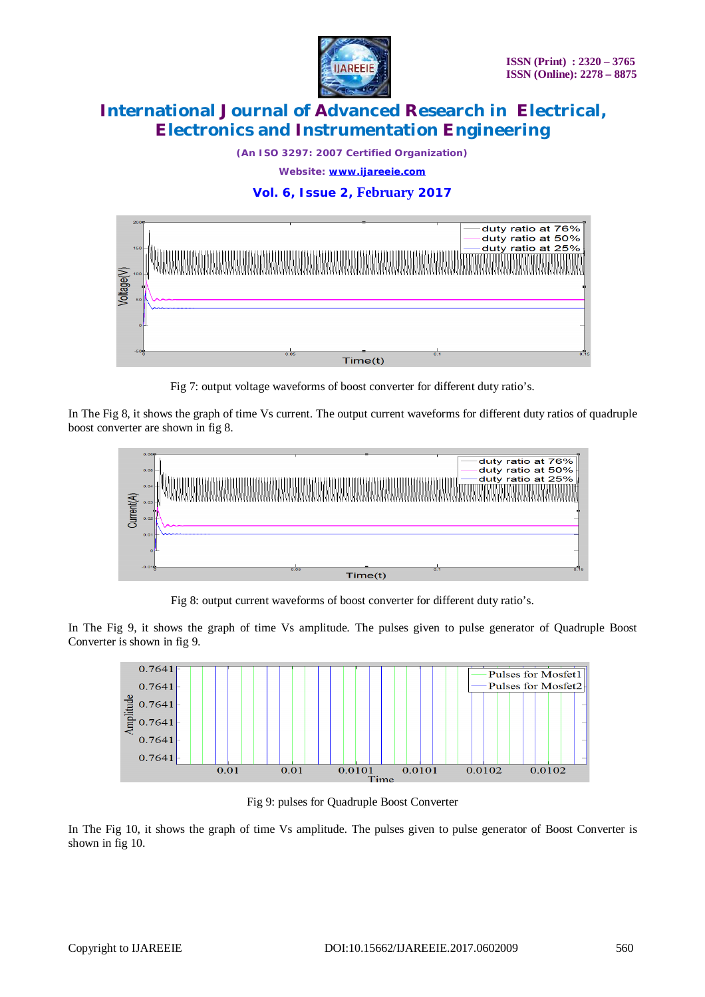

*(An ISO 3297: 2007 Certified Organization) Website: [www.ijareeie.com](http://www.ijareeie.com)*

### **Vol. 6, Issue 2, February 2017**



Fig 7: output voltage waveforms of boost converter for different duty ratio's.

In The Fig 8, it shows the graph of time Vs current. The output current waveforms for different duty ratios of quadruple boost converter are shown in fig 8.



Fig 8: output current waveforms of boost converter for different duty ratio's.

In The Fig 9, it shows the graph of time Vs amplitude. The pulses given to pulse generator of Quadruple Boost Converter is shown in fig 9.



Fig 9: pulses for Quadruple Boost Converter

In The Fig 10, it shows the graph of time Vs amplitude. The pulses given to pulse generator of Boost Converter is shown in fig 10.